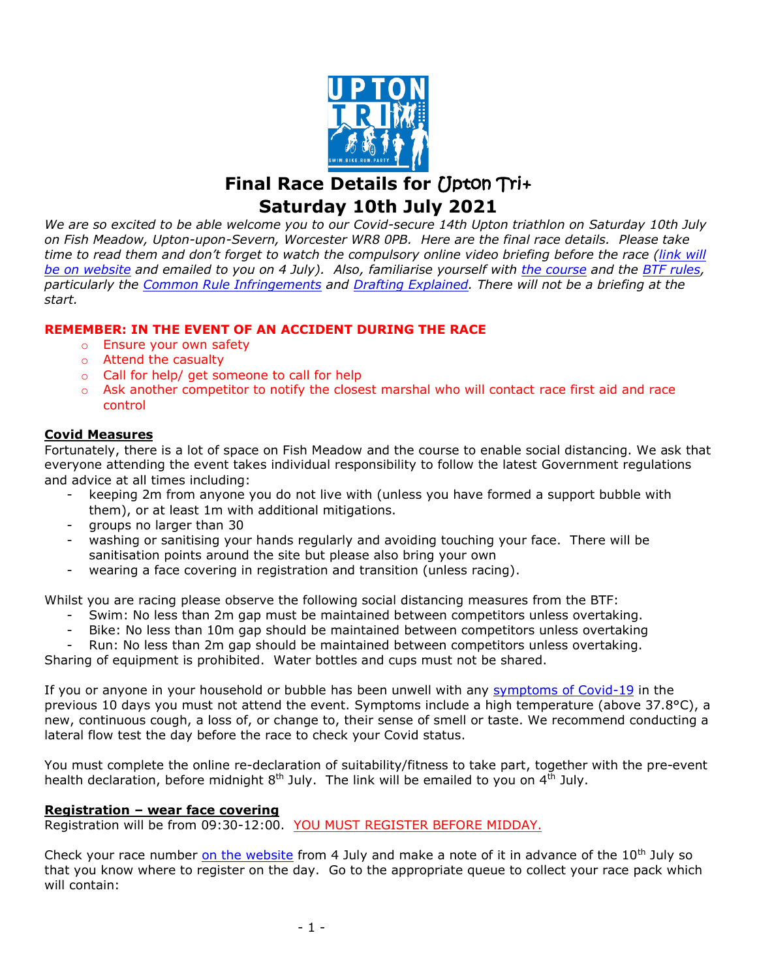

**Final Race Details for** *Upton* **Tri+ Saturday 10th July 2021**

*We are so excited to be able welcome you to our Covid-secure 14th Upton triathlon on Saturday 10th July on Fish Meadow, Upton-upon-Severn, Worcester WR8 0PB. Here are the final race details. Please take time to read them and don't forget to watch the compulsory online video briefing before the race [\(link will](https://www.uptontriathlon.com/)  [be on website](https://www.uptontriathlon.com/) and emailed to you on 4 July). Also, familiarise yourself with [the course](https://www.uptontriathlon.com/routes) and the [BTF rules,](https://www.britishtriathlon.org/competitionrules) particularly the [Common Rule Infringements](https://docs.wixstatic.com/ugd/5ab0f6_f27f846fcaf34263b3222c9ef0bfbb7e.pdf) and [Drafting Explained.](https://docs.wixstatic.com/ugd/5ab0f6_477975f87c9f4419b2f5163886b78d79.pdf) There will not be a briefing at the start.*

# **REMEMBER: IN THE EVENT OF AN ACCIDENT DURING THE RACE**

- o Ensure your own safety
- o Attend the casualty
- o Call for help/ get someone to call for help
- o Ask another competitor to notify the closest marshal who will contact race first aid and race control

# **Covid Measures**

Fortunately, there is a lot of space on Fish Meadow and the course to enable social distancing. We ask that everyone attending the event takes individual responsibility to follow the latest Government regulations and advice at all times including:

- keeping 2m from anyone you do not live with (unless you have formed a support bubble with them), or at least 1m with additional mitigations.
- groups no larger than 30
- washing or sanitising your hands regularly and avoiding touching your face. There will be sanitisation points around the site but please also bring your own
- wearing a face covering in registration and transition (unless racing).

Whilst you are racing please observe the following social distancing measures from the BTF:

- Swim: No less than 2m gap must be maintained between competitors unless overtaking.
- Bike: No less than 10m gap should be maintained between competitors unless overtaking
- Run: No less than 2m gap should be maintained between competitors unless overtaking.

Sharing of equipment is prohibited. Water bottles and cups must not be shared.

If you or anyone in your household or bubble has been unwell with any [symptoms of Covid-19](https://www.nhs.uk/conditions/coronavirus-covid-19/symptoms/) in the previous 10 days you must not attend the event. Symptoms include a high temperature (above 37.8°C), a new, continuous cough, a loss of, or change to, their sense of smell or taste. We recommend conducting a lateral flow test the day before the race to check your Covid status.

You must complete the online re-declaration of suitability/fitness to take part, together with the pre-event health declaration, before midnight  $8<sup>th</sup>$  July. The link will be emailed to you on  $4<sup>th</sup>$  July.

# **Registration – wear face covering**

Registration will be from 09:30-12:00. YOU MUST REGISTER BEFORE MIDDAY.

Check your race number [on the website](https://www.uptontriathlon.com/) from 4 July and make a note of it in advance of the 10<sup>th</sup> July so that you know where to register on the day. Go to the appropriate queue to collect your race pack which will contain: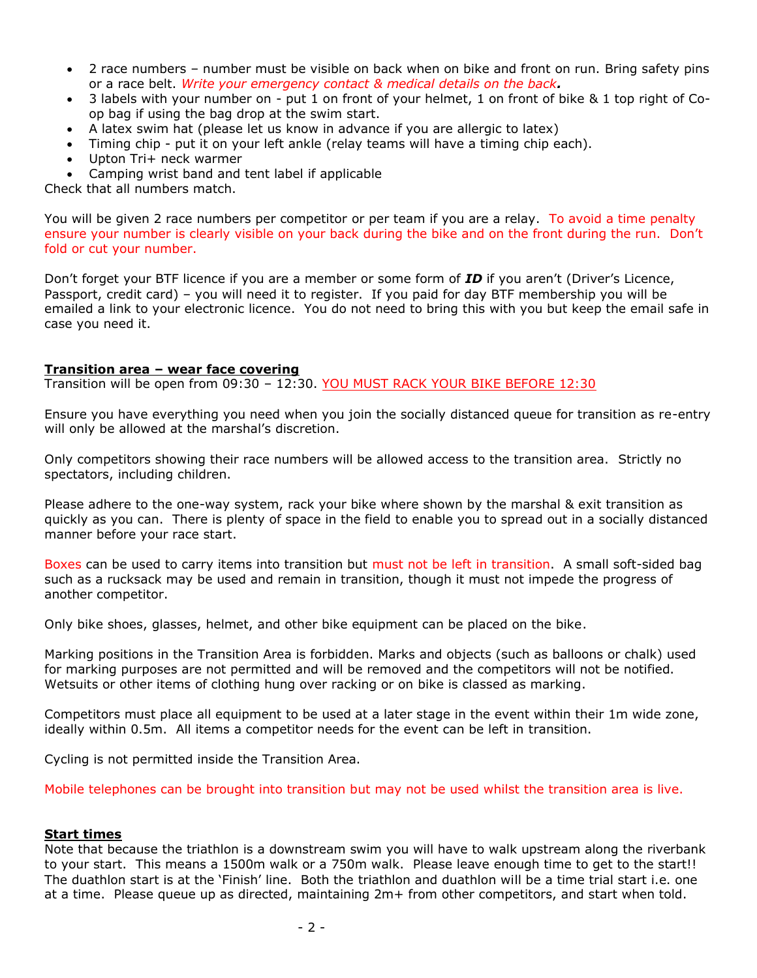- 2 race numbers number must be visible on back when on bike and front on run. Bring safety pins or a race belt. *Write your emergency contact & medical details on the back.*
- 3 labels with your number on put 1 on front of your helmet, 1 on front of bike & 1 top right of Coop bag if using the bag drop at the swim start.
- A latex swim hat (please let us know in advance if you are allergic to latex)
- Timing chip put it on your left ankle (relay teams will have a timing chip each).
- Upton Tri+ neck warmer
- Camping wrist band and tent label if applicable

Check that all numbers match.

You will be given 2 race numbers per competitor or per team if you are a relay. To avoid a time penalty ensure your number is clearly visible on your back during the bike and on the front during the run. Don't fold or cut your number.

Don't forget your BTF licence if you are a member or some form of *ID* if you aren't (Driver's Licence, Passport, credit card) – you will need it to register. If you paid for day BTF membership you will be emailed a link to your electronic licence. You do not need to bring this with you but keep the email safe in case you need it.

### **Transition area – wear face covering**

Transition will be open from 09:30 – 12:30. YOU MUST RACK YOUR BIKE BEFORE 12:30

Ensure you have everything you need when you join the socially distanced queue for transition as re-entry will only be allowed at the marshal's discretion.

Only competitors showing their race numbers will be allowed access to the transition area. Strictly no spectators, including children.

Please adhere to the one-way system, rack your bike where shown by the marshal & exit transition as quickly as you can. There is plenty of space in the field to enable you to spread out in a socially distanced manner before your race start.

Boxes can be used to carry items into transition but must not be left in transition. A small soft-sided bag such as a rucksack may be used and remain in transition, though it must not impede the progress of another competitor.

Only bike shoes, glasses, helmet, and other bike equipment can be placed on the bike.

Marking positions in the Transition Area is forbidden. Marks and objects (such as balloons or chalk) used for marking purposes are not permitted and will be removed and the competitors will not be notified. Wetsuits or other items of clothing hung over racking or on bike is classed as marking.

Competitors must place all equipment to be used at a later stage in the event within their 1m wide zone, ideally within 0.5m. All items a competitor needs for the event can be left in transition.

Cycling is not permitted inside the Transition Area.

Mobile telephones can be brought into transition but may not be used whilst the transition area is live.

### **Start times**

Note that because the triathlon is a downstream swim you will have to walk upstream along the riverbank to your start. This means a 1500m walk or a 750m walk. Please leave enough time to get to the start!! The duathlon start is at the 'Finish' line. Both the triathlon and duathlon will be a time trial start i.e. one at a time. Please queue up as directed, maintaining 2m+ from other competitors, and start when told.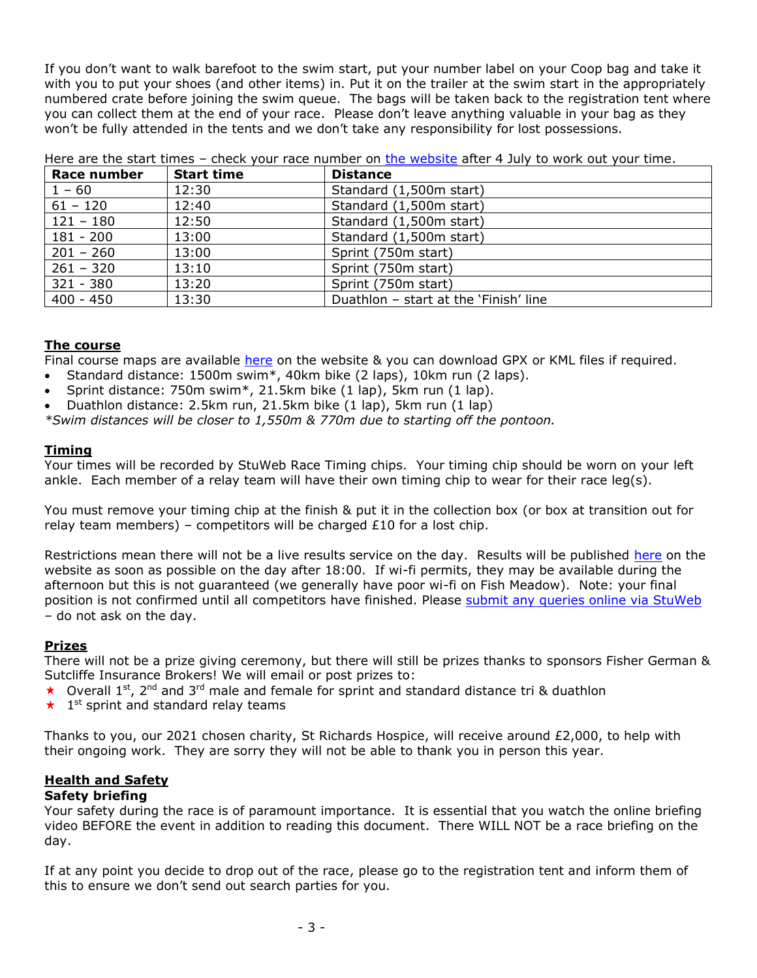If you don't want to walk barefoot to the swim start, put your number label on your Coop bag and take it with you to put your shoes (and other items) in. Put it on the trailer at the swim start in the appropriately numbered crate before joining the swim queue. The bags will be taken back to the registration tent where you can collect them at the end of your race. Please don't leave anything valuable in your bag as they won't be fully attended in the tents and we don't take any responsibility for lost possessions.

| Race number | <b>Start time</b> | <b>Distance</b>                       |
|-------------|-------------------|---------------------------------------|
| $1 - 60$    | 12:30             | Standard (1,500m start)               |
| $61 - 120$  | 12:40             | Standard (1,500m start)               |
| $121 - 180$ | 12:50             | Standard (1,500m start)               |
| $181 - 200$ | 13:00             | Standard (1,500m start)               |
| $201 - 260$ | 13:00             | Sprint (750m start)                   |
| $261 - 320$ | 13:10             | Sprint (750m start)                   |
| 321 - 380   | 13:20             | Sprint (750m start)                   |
| $400 - 450$ | 13:30             | Duathlon - start at the 'Finish' line |

Here are the start times – check your race number on [the website](https://www.uptontriathlon.com/) after 4 July to work out your time.

# **The course**

Final course maps are available [here](https://www.uptontriathlon.com/routes) on the website & you can download GPX or KML files if required.

- Standard distance: 1500m swim\*, 40km bike (2 laps), 10km run (2 laps).
- Sprint distance: 750m swim\*, 21.5km bike (1 lap), 5km run (1 lap).
- Duathlon distance: 2.5km run, 21.5km bike (1 lap), 5km run (1 lap)

*\*Swim distances will be closer to 1,550m & 770m due to starting off the pontoon.*

#### **Timing**

Your times will be recorded by StuWeb Race Timing chips. Your timing chip should be worn on your left ankle. Each member of a relay team will have their own timing chip to wear for their race leg(s).

You must remove your timing chip at the finish & put it in the collection box (or box at transition out for relay team members) – competitors will be charged  $£10$  for a lost chip.

Restrictions mean there will not be a live results service on the day. Results will be published [here](https://www.uptontriathlon.com/results) on the website as soon as possible on the day after 18:00. If wi-fi permits, they may be available during the afternoon but this is not guaranteed (we generally have poor wi-fi on Fish Meadow). Note: your final position is not confirmed until all competitors have finished. Please [submit any queries online via StuWeb](https://www.stuweb.co.uk/contact?t=3) – do not ask on the day.

### **Prizes**

There will not be a prize giving ceremony, but there will still be prizes thanks to sponsors Fisher German & Sutcliffe Insurance Brokers! We will email or post prizes to:

- $\star$  Overall 1<sup>st</sup>, 2<sup>nd</sup> and 3<sup>rd</sup> male and female for sprint and standard distance tri & duathlon
- 1<sup>st</sup> sprint and standard relay teams  $\star$

Thanks to you, our 2021 chosen charity, St Richards Hospice, will receive around £2,000, to help with their ongoing work. They are sorry they will not be able to thank you in person this year.

# **Health and Safety**

### **Safety briefing**

Your safety during the race is of paramount importance. It is essential that you watch the online briefing video BEFORE the event in addition to reading this document. There WILL NOT be a race briefing on the day.

If at any point you decide to drop out of the race, please go to the registration tent and inform them of this to ensure we don't send out search parties for you.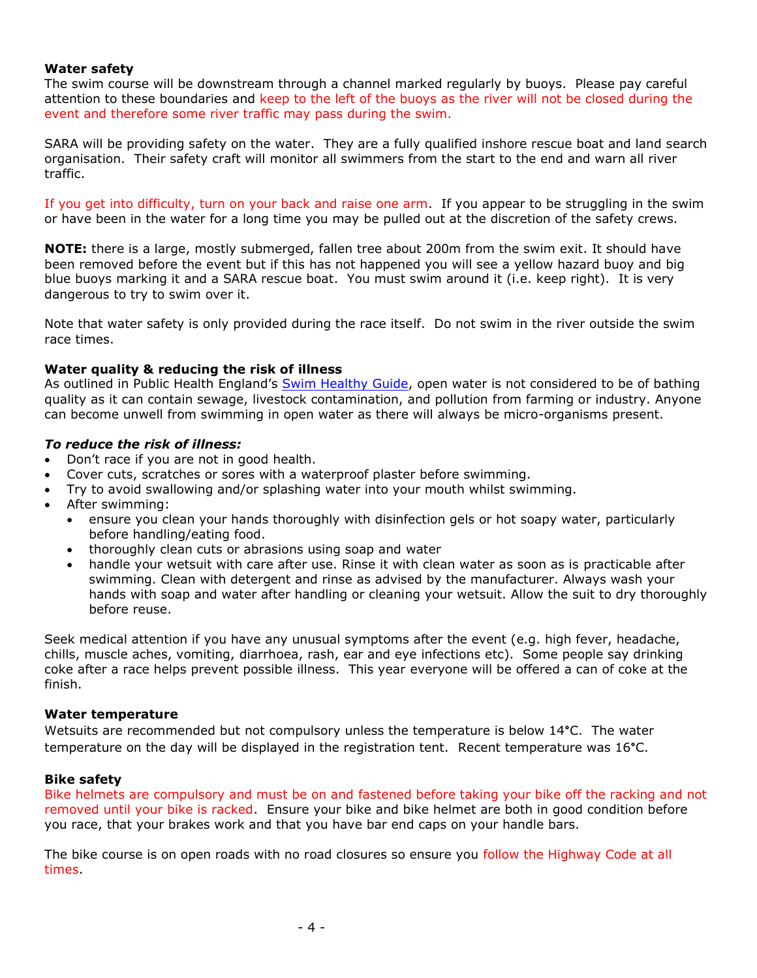### **Water safety**

The swim course will be downstream through a channel marked regularly by buoys. Please pay careful attention to these boundaries and keep to the left of the buoys as the river will not be closed during the event and therefore some river traffic may pass during the swim.

SARA will be providing safety on the water. They are a fully qualified inshore rescue boat and land search organisation. Their safety craft will monitor all swimmers from the start to the end and warn all river traffic.

If you get into difficulty, turn on your back and raise one arm. If you appear to be struggling in the swim or have been in the water for a long time you may be pulled out at the discretion of the safety crews.

**NOTE:** there is a large, mostly submerged, fallen tree about 200m from the swim exit. It should have been removed before the event but if this has not happened you will see a yellow hazard buoy and big blue buoys marking it and a SARA rescue boat. You must swim around it (i.e. keep right). It is very dangerous to try to swim over it.

Note that water safety is only provided during the race itself. Do not swim in the river outside the swim race times.

### **Water quality & reducing the risk of illness**

As outlined in Public Health England's [Swim Healthy Guide,](https://www.gov.uk/government/publications/swim-healthy-leaflet/swim-healthy) open water is not considered to be of bathing quality as it can contain sewage, livestock contamination, and pollution from farming or industry. Anyone can become unwell from swimming in open water as there will always be micro-organisms present.

# *To reduce the risk of illness:*

- Don't race if you are not in good health.
- Cover cuts, scratches or sores with a waterproof plaster before swimming.
- Try to avoid swallowing and/or splashing water into your mouth whilst swimming.
- After swimming:
	- ensure you clean your hands thoroughly with disinfection gels or hot soapy water, particularly before handling/eating food.
	- thoroughly clean cuts or abrasions using soap and water
	- handle your wetsuit with care after use. Rinse it with clean water as soon as is practicable after swimming. Clean with detergent and rinse as advised by the manufacturer. Always wash your hands with soap and water after handling or cleaning your wetsuit. Allow the suit to dry thoroughly before reuse.

Seek medical attention if you have any unusual symptoms after the event (e.g. high fever, headache, chills, muscle aches, vomiting, diarrhoea, rash, ear and eye infections etc). Some people say drinking coke after a race helps prevent possible illness. This year everyone will be offered a can of coke at the finish.

### **Water temperature**

Wetsuits are recommended but not compulsory unless the temperature is below 14°C. The water temperature on the day will be displayed in the registration tent. Recent temperature was 16°C.

### **Bike safety**

Bike helmets are compulsory and must be on and fastened before taking your bike off the racking and not removed until your bike is racked. Ensure your bike and bike helmet are both in good condition before you race, that your brakes work and that you have bar end caps on your handle bars.

The bike course is on open roads with no road closures so ensure you follow the Highway Code at all times.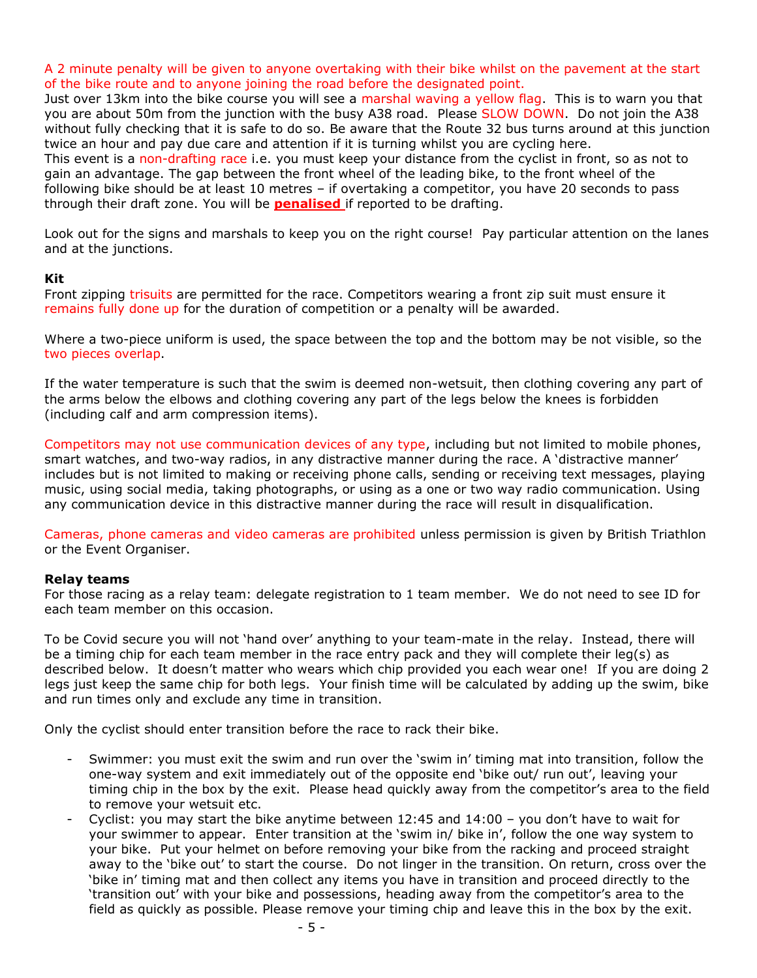A 2 minute penalty will be given to anyone overtaking with their bike whilst on the pavement at the start of the bike route and to anyone joining the road before the designated point.

Just over 13km into the bike course you will see a marshal waving a yellow flag. This is to warn you that you are about 50m from the junction with the busy A38 road. Please SLOW DOWN. Do not join the A38 without fully checking that it is safe to do so. Be aware that the Route 32 bus turns around at this junction twice an hour and pay due care and attention if it is turning whilst you are cycling here. This event is a non-drafting race i.e. you must keep your distance from the cyclist in front, so as not to gain an advantage. The gap between the front wheel of the leading bike, to the front wheel of the following bike should be at least 10 metres – if overtaking a competitor, you have 20 seconds to pass through their draft zone. You will be **penalised** if reported to be drafting.

Look out for the signs and marshals to keep you on the right course! Pay particular attention on the lanes and at the junctions.

### **Kit**

Front zipping trisuits are permitted for the race. Competitors wearing a front zip suit must ensure it remains fully done up for the duration of competition or a penalty will be awarded.

Where a two-piece uniform is used, the space between the top and the bottom may be not visible, so the two pieces overlap.

If the water temperature is such that the swim is deemed non-wetsuit, then clothing covering any part of the arms below the elbows and clothing covering any part of the legs below the knees is forbidden (including calf and arm compression items).

Competitors may not use communication devices of any type, including but not limited to mobile phones, smart watches, and two-way radios, in any distractive manner during the race. A 'distractive manner' includes but is not limited to making or receiving phone calls, sending or receiving text messages, playing music, using social media, taking photographs, or using as a one or two way radio communication. Using any communication device in this distractive manner during the race will result in disqualification.

Cameras, phone cameras and video cameras are prohibited unless permission is given by British Triathlon or the Event Organiser.

# **Relay teams**

For those racing as a relay team: delegate registration to 1 team member. We do not need to see ID for each team member on this occasion.

To be Covid secure you will not 'hand over' anything to your team-mate in the relay. Instead, there will be a timing chip for each team member in the race entry pack and they will complete their leg(s) as described below. It doesn't matter who wears which chip provided you each wear one! If you are doing 2 legs just keep the same chip for both legs. Your finish time will be calculated by adding up the swim, bike and run times only and exclude any time in transition.

Only the cyclist should enter transition before the race to rack their bike.

- Swimmer: you must exit the swim and run over the 'swim in' timing mat into transition, follow the one-way system and exit immediately out of the opposite end 'bike out/ run out', leaving your timing chip in the box by the exit. Please head quickly away from the competitor's area to the field to remove your wetsuit etc.
- Cyclist: you may start the bike anytime between  $12:45$  and  $14:00$  you don't have to wait for your swimmer to appear. Enter transition at the 'swim in/ bike in', follow the one way system to your bike. Put your helmet on before removing your bike from the racking and proceed straight away to the 'bike out' to start the course. Do not linger in the transition. On return, cross over the 'bike in' timing mat and then collect any items you have in transition and proceed directly to the 'transition out' with your bike and possessions, heading away from the competitor's area to the field as quickly as possible. Please remove your timing chip and leave this in the box by the exit.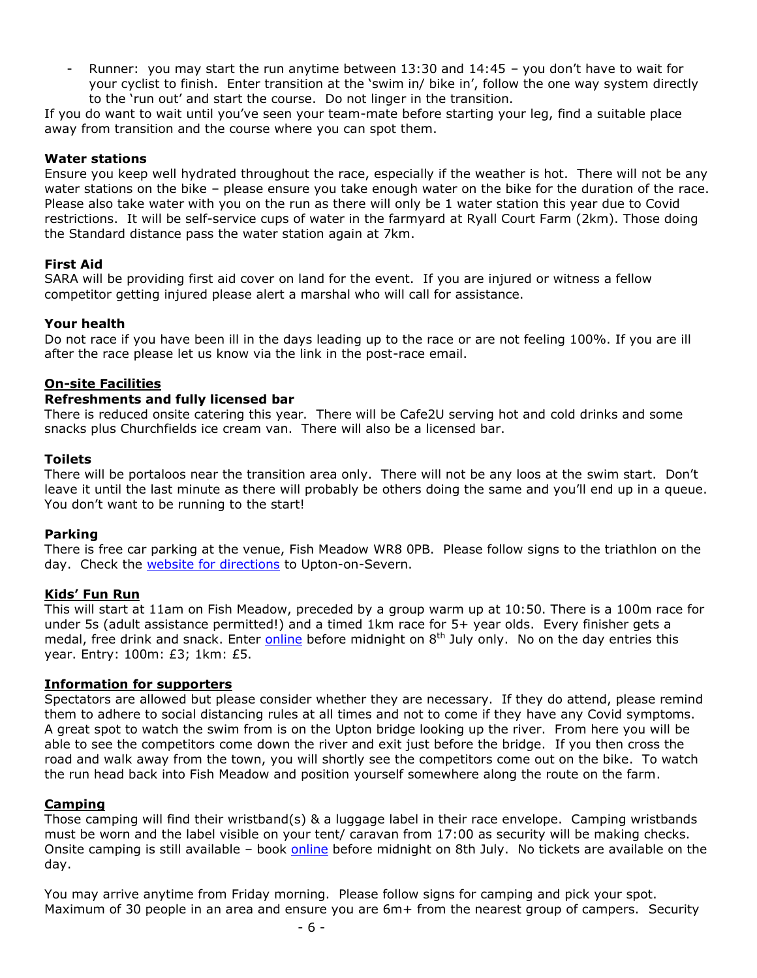Runner: you may start the run anytime between 13:30 and  $14:45$  – you don't have to wait for your cyclist to finish. Enter transition at the 'swim in/ bike in', follow the one way system directly to the 'run out' and start the course. Do not linger in the transition.

If you do want to wait until you've seen your team-mate before starting your leg, find a suitable place away from transition and the course where you can spot them.

# **Water stations**

Ensure you keep well hydrated throughout the race, especially if the weather is hot. There will not be any water stations on the bike – please ensure you take enough water on the bike for the duration of the race. Please also take water with you on the run as there will only be 1 water station this year due to Covid restrictions. It will be self-service cups of water in the farmyard at Ryall Court Farm (2km). Those doing the Standard distance pass the water station again at 7km.

# **First Aid**

SARA will be providing first aid cover on land for the event. If you are injured or witness a fellow competitor getting injured please alert a marshal who will call for assistance.

# **Your health**

Do not race if you have been ill in the days leading up to the race or are not feeling 100%. If you are ill after the race please let us know via the link in the post-race email.

# **On-site Facilities**

# **Refreshments and fully licensed bar**

There is reduced onsite catering this year. There will be Cafe2U serving hot and cold drinks and some snacks plus Churchfields ice cream van. There will also be a licensed bar.

# **Toilets**

There will be portaloos near the transition area only. There will not be any loos at the swim start. Don't leave it until the last minute as there will probably be others doing the same and you'll end up in a queue. You don't want to be running to the start!

# **Parking**

There is free car parking at the venue, Fish Meadow WR8 0PB. Please follow signs to the triathlon on the day. Check the [website for directions](http://www.uptontriathlon.com/directions) to Upton-on-Severn.

# **Kids' Fun Run**

This will start at 11am on Fish Meadow, preceded by a group warm up at 10:50. There is a 100m race for under 5s (adult assistance permitted!) and a timed 1km race for 5+ year olds. Every finisher gets a medal, free drink and snack. Enter **online** before midnight on 8<sup>th</sup> July only. No on the day entries this year. Entry: 100m: £3; 1km: £5.

# **Information for supporters**

Spectators are allowed but please consider whether they are necessary. If they do attend, please remind them to adhere to social distancing rules at all times and not to come if they have any Covid symptoms. A great spot to watch the swim from is on the Upton bridge looking up the river. From here you will be able to see the competitors come down the river and exit just before the bridge. If you then cross the road and walk away from the town, you will shortly see the competitors come out on the bike. To watch the run head back into Fish Meadow and position yourself somewhere along the route on the farm.

# **Camping**

Those camping will find their wristband(s) & a luggage label in their race envelope. Camping wristbands must be worn and the label visible on your tent/ caravan from 17:00 as security will be making checks. Onsite camping is still available - book [online](https://www.uptontriathlon.com/copy-of-race-party-entry) before midnight on 8th July. No tickets are available on the day.

You may arrive anytime from Friday morning. Please follow signs for camping and pick your spot. Maximum of 30 people in an area and ensure you are 6m+ from the nearest group of campers. Security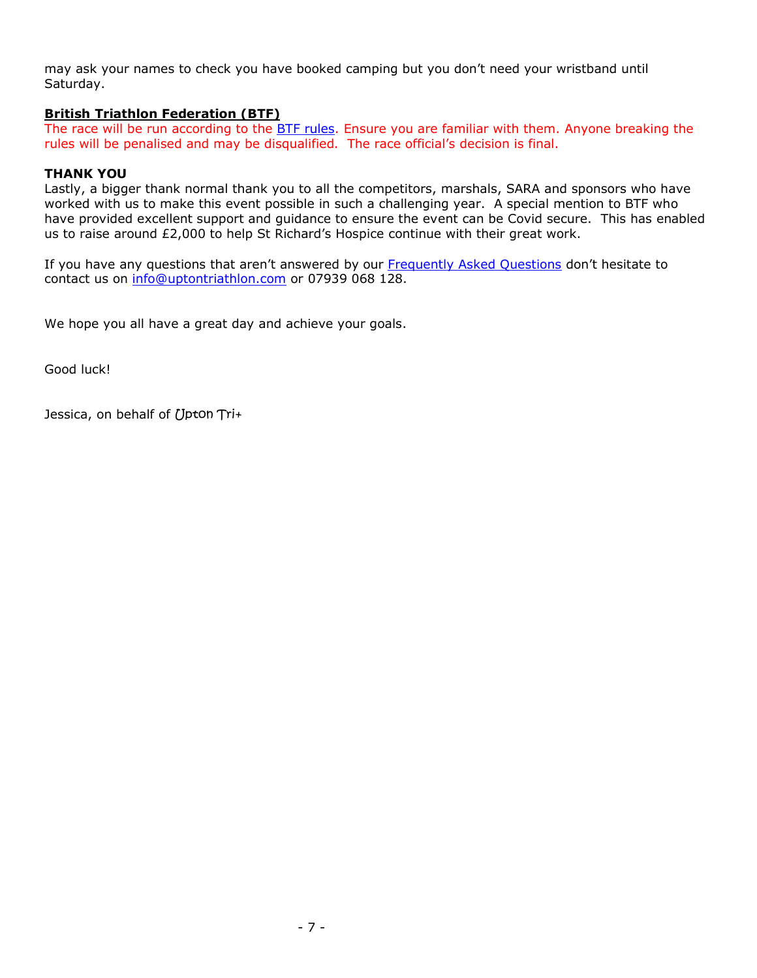may ask your names to check you have booked camping but you don't need your wristband until Saturday.

# **British Triathlon Federation (BTF)**

The race will be run according to the **BTF rules**. Ensure you are familiar with them. Anyone breaking the rules will be penalised and may be disqualified. The race official's decision is final.

# **THANK YOU**

Lastly, a bigger thank normal thank you to all the competitors, marshals, SARA and sponsors who have worked with us to make this event possible in such a challenging year. A special mention to BTF who have provided excellent support and guidance to ensure the event can be Covid secure. This has enabled us to raise around £2,000 to help St Richard's Hospice continue with their great work.

If you have any questions that aren't answered by our [Frequently Asked Questions](http://www.uptontriathlon.com/contact-us-faqs) don't hesitate to contact us on [info@uptontriathlon.com](mailto:info@uptontriathlon.com) or 07939 068 128.

We hope you all have a great day and achieve your goals.

Good luck!

Jessica, on behalf of Upton Tri+